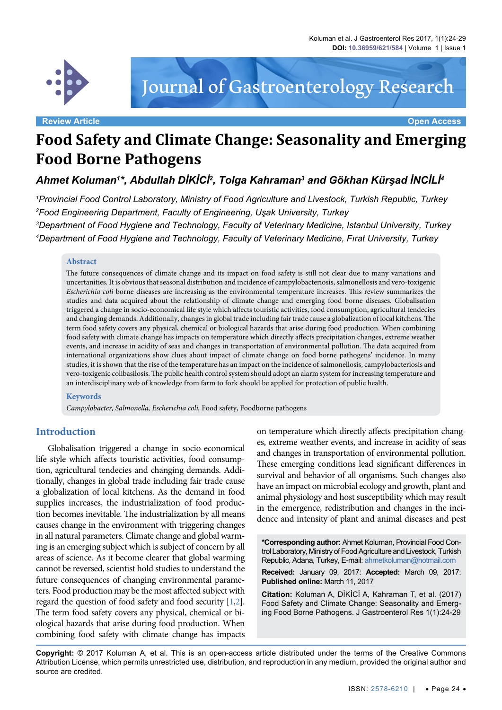

# Journal of Gastroenterology Research

**Review Article Open Access**

## **Food Safety and Climate Change: Seasonality and Emerging Food Borne Pathogens**

*Ahmet Koluman1 \*, Abdullah DİKİCİ<sup>2</sup> , Tolga Kahraman3 and Gökhan Kürşad İNCİLİ<sup>4</sup>*

 *Provincial Food Control Laboratory, Ministry of Food Agriculture and Livestock, Turkish Republic, Turkey Food Engineering Department, Faculty of Engineering, Uşak University, Turkey Department of Food Hygiene and Technology, Faculty of Veterinary Medicine, Istanbul University, Turkey Department of Food Hygiene and Technology, Faculty of Veterinary Medicine, Fırat University, Turkey*

#### **Abstract**

The future consequences of climate change and its impact on food safety is still not clear due to many variations and uncertanities. It is obvious that seasonal distribution and incidence of campylobacteriosis, salmonellosis and vero-toxigenic *Escherichia coli* borne diseases are increasing as the environmental temperature increases. This review summarizes the studies and data acquired about the relationship of climate change and emerging food borne diseases. Globalisation triggered a change in socio-economical life style which affects touristic activities, food consumption, agricultural tendecies and changing demands. Additionally, changes in global trade including fair trade cause a globalization of local kitchens. The term food safety covers any physical, chemical or biological hazards that arise during food production. When combining food safety with climate change has impacts on temperature which directly affects precipitation changes, extreme weather events, and increase in acidity of seas and changes in transportation of environmental pollution. The data acquired from international organizations show clues about impact of climate change on food borne pathogens' incidence. In many studies, it is shown that the rise of the temperature has an impact on the incidence of salmonellosis, campylobacteriosis and vero-toxigenic colibasilosis. The public health control system should adopt an alarm system for increasing temperature and an interdisciplinary web of knowledge from farm to fork should be applied for protection of public health.

#### **Keywords**

*Campylobacter, Salmonella, Escherichia coli,* Food safety, Foodborne pathogens

#### **Introduction**

Globalisation triggered a change in socio-economical life style which affects touristic activities, food consumption, agricultural tendecies and changing demands. Additionally, changes in global trade including fair trade cause a globalization of local kitchens. As the demand in food supplies increases, the industrialization of food production becomes inevitable. The industrialization by all means causes change in the environment with triggering changes in all natural parameters. Climate change and global warming is an emerging subject which is subject of concern by all areas of science. As it become clearer that global warming cannot be reversed, scientist hold studies to understand the future consequences of changing environmental parameters. Food production may be the most affected subject with regard the question of food safety and food security [\[1](#page-5-0)[,2](#page-5-1)]. The term food safety covers any physical, chemical or biological hazards that arise during food production. When combining food safety with climate change has impacts

on temperature which directly affects precipitation changes, extreme weather events, and increase in acidity of seas and changes in transportation of environmental pollution. These emerging conditions lead significant differences in survival and behavior of all organisms. Such changes also have an impact on microbial ecology and growth, plant and animal physiology and host susceptibility which may result in the emergence, redistribution and changes in the incidence and intensity of plant and animal diseases and pest

**\*Corresponding author:** Ahmet Koluman, Provincial Food Control Laboratory, Ministry of Food Agriculture and Livestock, Turkish Republic, Adana, Turkey, E-mail: ahmetkoluman@hotmail.com

**Received:** January 09, 2017: **Accepted:** March 09, 2017: **Published online:** March 11, 2017

**Citation:** Koluman A, DİKİCİ A, Kahraman T, et al. (2017) Food Safety and Climate Change: Seasonality and Emerging Food Borne Pathogens. J Gastroenterol Res 1(1):24-29

**Copyright:** © 2017 Koluman A, et al. This is an open-access article distributed under the terms of the Creative Commons Attribution License, which permits unrestricted use, distribution, and reproduction in any medium, provided the original author and source are credited.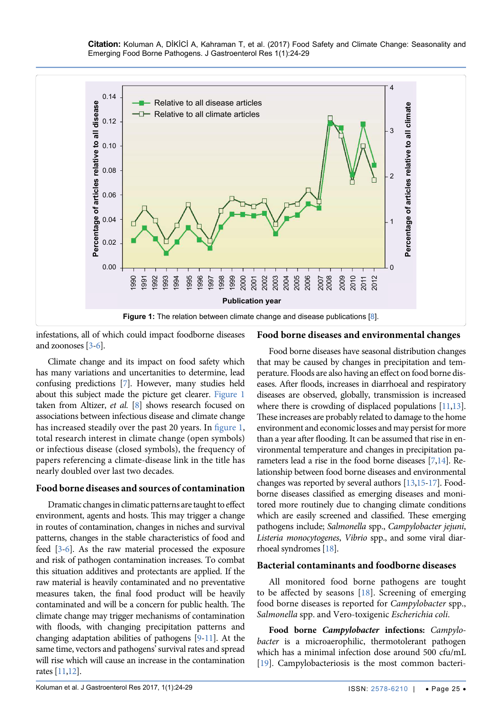<span id="page-1-0"></span>

infestations, all of which could impact foodborne diseases and zoonoses [\[3](#page-5-2)[-6\]](#page-5-3).

#### **Food borne diseases and environmental changes**

Climate change and its impact on food safety which has many variations and uncertanities to determine, lead confusing predictions [\[7\]](#page-5-4). However, many studies held about this subject made the picture get clearer. [Figure 1](#page-1-0) taken from Altizer, *et al.* [\[8](#page-5-5)] shows research focused on associations between infectious disease and climate change has increased steadily over the past 20 years. In [figure 1](#page-1-0), total research interest in climate change (open symbols) or infectious disease (closed symbols), the frequency of papers referencing a climate-disease link in the title has nearly doubled over last two decades.

#### **Food borne diseases and sources of contamination**

Dramatic changes in climatic patterns are taught to effect environment, agents and hosts. This may trigger a change in routes of contamination, changes in niches and survival patterns, changes in the stable characteristics of food and feed [[3](#page-5-2)[-6](#page-5-3)]. As the raw material processed the exposure and risk of pathogen contamination increases. To combat this situation additives and protectants are applied. If the raw material is heavily contaminated and no preventative measures taken, the final food product will be heavily contaminated and will be a concern for public health. The climate change may trigger mechanisms of contamination with floods, with changing precipitation patterns and changing adaptation abilities of pathogens [\[9-](#page-5-6)[11\]](#page-5-7). At the same time, vectors and pathogens' survival rates and spread will rise which will cause an increase in the contamination rates [\[11](#page-5-7),[12\]](#page-5-8).

Food borne diseases have seasonal distribution changes that may be caused by changes in precipitation and temperature. Floods are also having an effect on food borne diseases. After floods, increases in diarrhoeal and respiratory diseases are observed, globally, transmission is increased where there is crowding of displaced populations [\[11](#page-5-7),[13\]](#page-5-9). These increases are probably related to damage to the home environment and economic losses and may persist for more than a year after flooding. It can be assumed that rise in environmental temperature and changes in precipitation parameters lead a rise in the food borne diseases [\[7](#page-5-4)[,14\]](#page-5-10). Relationship between food borne diseases and environmental changes was reported by several authors [\[13](#page-5-9)[,15](#page-5-11)[-17](#page-5-12)]. Foodborne diseases classified as emerging diseases and monitored more routinely due to changing climate conditions which are easily screened and classified. These emerging pathogens include; *Salmonella* spp., *Campylobacter jejuni*, *Listeria monocytogenes*, *Vibrio* spp., and some viral diarrhoeal syndromes [[18\]](#page-5-13).

#### **Bacterial contaminants and foodborne diseases**

All monitored food borne pathogens are tought to be affected by seasons [\[18\]](#page-5-13). Screening of emerging food borne diseases is reported for *Campylobacter* spp., *Salmonella* spp. and Vero-toxigenic *Escherichia coli*.

**Food borne** *Campylobacter* **infections:** *Campylobacter* is a microaerophilic, thermotolerant pathogen which has a minimal infection dose around 500 cfu/mL [\[19\]](#page-5-14). Campylobacteriosis is the most common bacteri-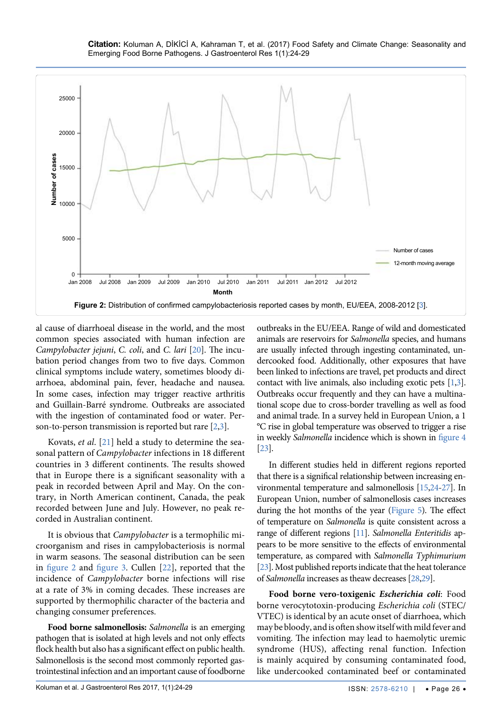<span id="page-2-0"></span>

al cause of diarrhoeal disease in the world, and the most common species associated with human infection are *Campylobacter jejuni*, *C. coli*, and *C. lari* [\[20](#page-5-15)]. The incubation period changes from two to five days. Common clinical symptoms include watery, sometimes bloody diarrhoea, abdominal pain, fever, headache and nausea. In some cases, infection may trigger reactive arthritis and Guillain-Barré syndrome. Outbreaks are associated with the ingestion of contaminated food or water. Person-to-person transmission is reported but rare [\[2](#page-5-1),[3\]](#page-5-2).

Kovats, *et al*. [[21\]](#page-5-16) held a study to determine the seasonal pattern of *Campylobacter* infections in 18 different countries in 3 different continents. The results showed that in Europe there is a significant seasonality with a peak in recorded between April and May. On the contrary, in North American continent, Canada, the peak recorded between June and July. However, no peak recorded in Australian continent.

It is obvious that *Campylobacter* is a termophilic microorganism and rises in campylobacteriosis is normal in warm seasons. The seasonal distribution can be seen in [figure 2](#page-2-0) and [figure 3](#page-3-0). Cullen [[22](#page-5-17)], reported that the incidence of *Campylobacter* borne infections will rise at a rate of 3% in coming decades. These increases are supported by thermophilic character of the bacteria and changing consumer preferences.

**Food borne salmonellosis:** *Salmonella* is an emerging pathogen that is isolated at high levels and not only effects flock health but also has a significant effect on public health. Salmonellosis is the second most commonly reported gastrointestinal infection and an important cause of foodborne outbreaks in the EU/EEA. Range of wild and domesticated animals are reservoirs for *Salmonella* species, and humans are usually infected through ingesting contaminated, undercooked food. Additionally, other exposures that have been linked to infections are travel, pet products and direct contact with live animals, also including exotic pets [\[1](#page-5-0),[3\]](#page-5-2). Outbreaks occur frequently and they can have a multinational scope due to cross-border travelling as well as food and animal trade. In a survey held in European Union, a 1 °C rise in global temperature was observed to trigger a rise in weekly *Salmonella* incidence which is shown in [figure 4](#page-3-1) [\[23](#page-5-18)].

In different studies held in different regions reported that there is a significal relationship between increasing environmental temperature and salmonellosis [[15](#page-5-11)[,24](#page-5-19)[-27](#page-5-20)]. In European Union, number of salmonellosis cases increases during the hot months of the year [\(Figure 5](#page-4-0)). The effect of temperature on *Salmonella* is quite consistent across a range of different regions [\[11](#page-5-7)]. *Salmonella Enteritidis* appears to be more sensitive to the effects of environmental temperature, as compared with *Salmonella Typhimurium*  [\[23](#page-5-18)]. Most published reports indicate that the heat tolerance of *Salmonella* increases as theaw decreases [\[28,](#page-5-21)[29\]](#page-5-22).

**Food borne vero-toxigenic** *Escherichia coli*: Food borne verocytotoxin-producing *Escherichia coli* (STEC/ VTEC) is identical by an acute onset of diarrhoea, which may be bloody, and is often show itself with mild fever and vomiting. The infection may lead to haemolytic uremic syndrome (HUS), affecting renal function. Infection is mainly acquired by consuming contaminated food, like undercooked contaminated beef or contaminated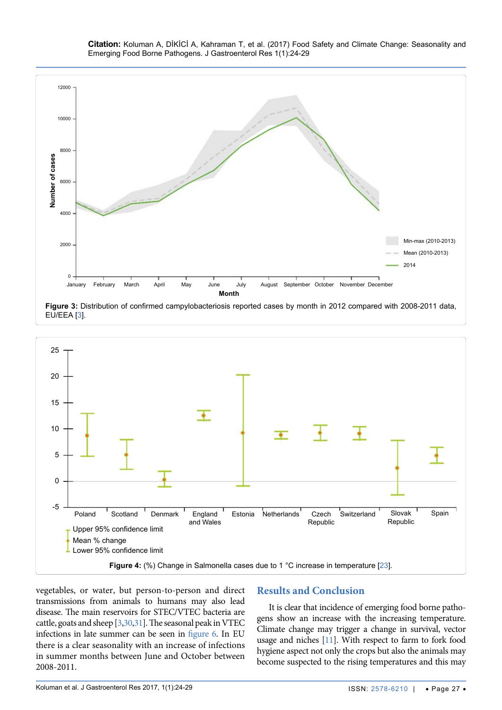**Citation:** Koluman A, DİKİCİ A, Kahraman T, et al. (2017) Food Safety and Climate Change: Seasonality and Emerging Food Borne Pathogens. J Gastroenterol Res 1(1):24-29

<span id="page-3-0"></span>

**Figure 3:** Distribution of confirmed campylobacteriosis reported cases by month in 2012 compared with 2008-2011 data, EU/EEA [[3\]](#page-5-2).

<span id="page-3-1"></span>

vegetables, or water, but person-to-person and direct transmissions from animals to humans may also lead disease. The main reservoirs for STEC/VTEC bacteria are cattle, goats and sheep [\[3](#page-5-2),[30](#page-5-23)[,31](#page-5-24)]. The seasonal peak in VTEC infections in late summer can be seen in [figure 6](#page-4-1). In EU there is a clear seasonality with an increase of infections in summer months between June and October between 2008-2011.

### **Results and Conclusion**

It is clear that incidence of emerging food borne pathogens show an increase with the increasing temperature. Climate change may trigger a change in survival, vector usage and niches [\[11\]](#page-5-7). With respect to farm to fork food hygiene aspect not only the crops but also the animals may become suspected to the rising temperatures and this may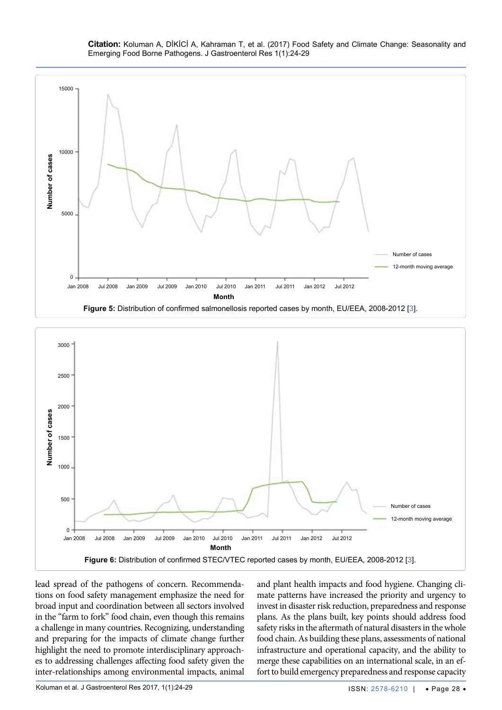

<span id="page-4-0"></span>

<span id="page-4-1"></span>

lead spread of the pathogens of concern. Recommendations on food safety management emphasize the need for broad input and coordination between all sectors involved in the "farm to fork" food chain, even though this remains a challenge in many countries. Recognizing, understanding and preparing for the impacts of climate change further highlight the need to promote interdisciplinary approaches to addressing challenges affecting food safety given the inter-relationships among environmental impacts, animal

and plant health impacts and food hygiene. Changing climate patterns have increased the priority and urgency to invest in disaster risk reduction, preparedness and response plans. As the plans built, key points should address food safety risks in the aftermath of natural disasters in the whole food chain. As building these plans, assessments of national infrastructure and operational capacity, and the ability to merge these capabilities on an international scale, in an effort to build emergency preparedness and response capacity